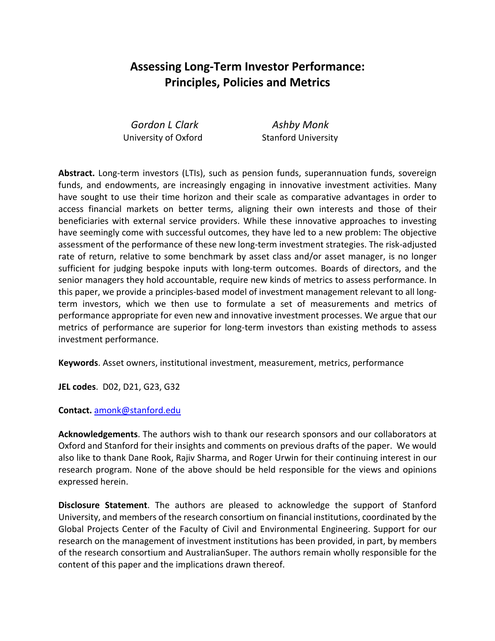# **Assessing Long-Term Investor Performance: Principles, Policies and Metrics**

 *Gordon L Clark Ashby Monk* University of Oxford Stanford University

**Abstract.** Long-term investors (LTIs), such as pension funds, superannuation funds, sovereign funds, and endowments, are increasingly engaging in innovative investment activities. Many have sought to use their time horizon and their scale as comparative advantages in order to access financial markets on better terms, aligning their own interests and those of their beneficiaries with external service providers. While these innovative approaches to investing have seemingly come with successful outcomes, they have led to a new problem: The objective assessment of the performance of these new long-term investment strategies. The risk-adjusted rate of return, relative to some benchmark by asset class and/or asset manager, is no longer sufficient for judging bespoke inputs with long-term outcomes. Boards of directors, and the senior managers they hold accountable, require new kinds of metrics to assess performance. In this paper, we provide a principles-based model of investment management relevant to all longterm investors, which we then use to formulate a set of measurements and metrics of performance appropriate for even new and innovative investment processes. We argue that our metrics of performance are superior for long-term investors than existing methods to assess investment performance.

**Keywords**. Asset owners, institutional investment, measurement, metrics, performance

**JEL codes**. D02, D21, G23, G32

**Contact.** amonk@stanford.edu

**Acknowledgements**. The authors wish to thank our research sponsors and our collaborators at Oxford and Stanford for their insights and comments on previous drafts of the paper. We would also like to thank Dane Rook, Rajiv Sharma, and Roger Urwin for their continuing interest in our research program. None of the above should be held responsible for the views and opinions expressed herein.

**Disclosure Statement**. The authors are pleased to acknowledge the support of Stanford University, and members of the research consortium on financial institutions, coordinated by the Global Projects Center of the Faculty of Civil and Environmental Engineering. Support for our research on the management of investment institutions has been provided, in part, by members of the research consortium and AustralianSuper. The authors remain wholly responsible for the content of this paper and the implications drawn thereof.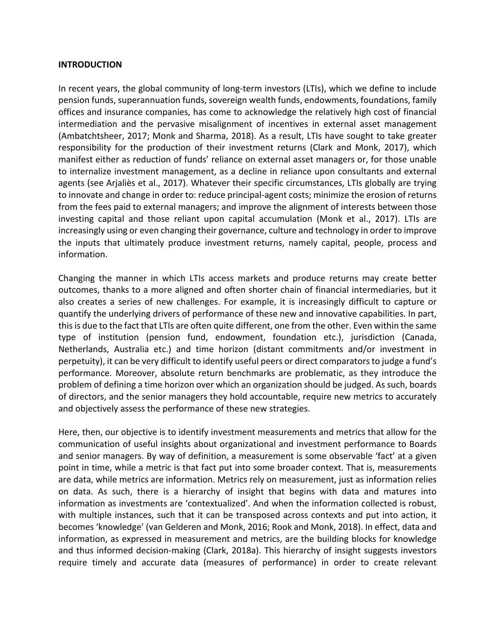#### **INTRODUCTION**

In recent years, the global community of long-term investors (LTIs), which we define to include pension funds, superannuation funds, sovereign wealth funds, endowments, foundations, family offices and insurance companies, has come to acknowledge the relatively high cost of financial intermediation and the pervasive misalignment of incentives in external asset management (Ambatchtsheer, 2017; Monk and Sharma, 2018). As a result, LTIs have sought to take greater responsibility for the production of their investment returns (Clark and Monk, 2017), which manifest either as reduction of funds' reliance on external asset managers or, for those unable to internalize investment management, as a decline in reliance upon consultants and external agents (see Arjaliès et al., 2017). Whatever their specific circumstances, LTIs globally are trying to innovate and change in order to: reduce principal-agent costs; minimize the erosion of returns from the fees paid to external managers; and improve the alignment of interests between those investing capital and those reliant upon capital accumulation (Monk et al., 2017). LTIs are increasingly using or even changing their governance, culture and technology in order to improve the inputs that ultimately produce investment returns, namely capital, people, process and information.

Changing the manner in which LTIs access markets and produce returns may create better outcomes, thanks to a more aligned and often shorter chain of financial intermediaries, but it also creates a series of new challenges. For example, it is increasingly difficult to capture or quantify the underlying drivers of performance of these new and innovative capabilities. In part, this is due to the fact that LTIs are often quite different, one from the other. Even within the same type of institution (pension fund, endowment, foundation etc.), jurisdiction (Canada, Netherlands, Australia etc.) and time horizon (distant commitments and/or investment in perpetuity), it can be very difficult to identify useful peers or direct comparatorsto judge a fund's performance. Moreover, absolute return benchmarks are problematic, as they introduce the problem of defining a time horizon over which an organization should be judged. As such, boards of directors, and the senior managers they hold accountable, require new metrics to accurately and objectively assess the performance of these new strategies.

Here, then, our objective is to identify investment measurements and metrics that allow for the communication of useful insights about organizational and investment performance to Boards and senior managers. By way of definition, a measurement is some observable 'fact' at a given point in time, while a metric is that fact put into some broader context. That is, measurements are data, while metrics are information. Metrics rely on measurement, just as information relies on data. As such, there is a hierarchy of insight that begins with data and matures into information as investments are 'contextualized'. And when the information collected is robust, with multiple instances, such that it can be transposed across contexts and put into action, it becomes 'knowledge' (van Gelderen and Monk, 2016; Rook and Monk, 2018). In effect, data and information, as expressed in measurement and metrics, are the building blocks for knowledge and thus informed decision-making (Clark, 2018a). This hierarchy of insight suggests investors require timely and accurate data (measures of performance) in order to create relevant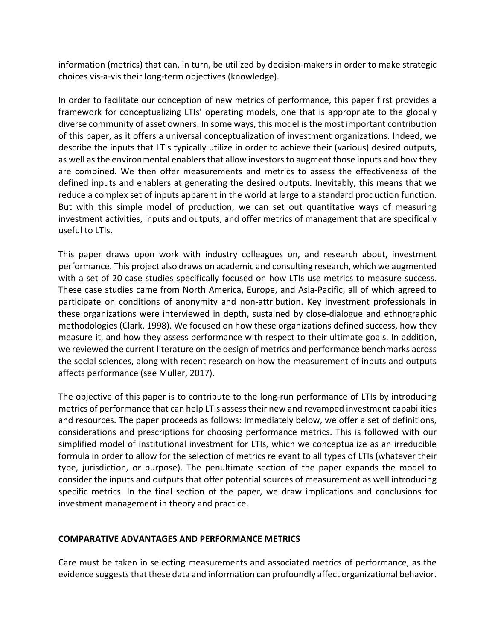information (metrics) that can, in turn, be utilized by decision-makers in order to make strategic choices vis-à-vis their long-term objectives (knowledge).

In order to facilitate our conception of new metrics of performance, this paper first provides a framework for conceptualizing LTIs' operating models, one that is appropriate to the globally diverse community of asset owners. In some ways, this model is the most important contribution of this paper, as it offers a universal conceptualization of investment organizations. Indeed, we describe the inputs that LTIs typically utilize in order to achieve their (various) desired outputs, as well as the environmental enablers that allow investors to augment those inputs and how they are combined. We then offer measurements and metrics to assess the effectiveness of the defined inputs and enablers at generating the desired outputs. Inevitably, this means that we reduce a complex set of inputs apparent in the world at large to a standard production function. But with this simple model of production, we can set out quantitative ways of measuring investment activities, inputs and outputs, and offer metrics of management that are specifically useful to LTIs.

This paper draws upon work with industry colleagues on, and research about, investment performance. This project also draws on academic and consulting research, which we augmented with a set of 20 case studies specifically focused on how LTIs use metrics to measure success. These case studies came from North America, Europe, and Asia-Pacific, all of which agreed to participate on conditions of anonymity and non-attribution. Key investment professionals in these organizations were interviewed in depth, sustained by close-dialogue and ethnographic methodologies (Clark, 1998). We focused on how these organizations defined success, how they measure it, and how they assess performance with respect to their ultimate goals. In addition, we reviewed the current literature on the design of metrics and performance benchmarks across the social sciences, along with recent research on how the measurement of inputs and outputs affects performance (see Muller, 2017).

The objective of this paper is to contribute to the long-run performance of LTIs by introducing metrics of performance that can help LTIs assess their new and revamped investment capabilities and resources. The paper proceeds as follows: Immediately below, we offer a set of definitions, considerations and prescriptions for choosing performance metrics. This is followed with our simplified model of institutional investment for LTIs, which we conceptualize as an irreducible formula in order to allow for the selection of metrics relevant to all types of LTIs (whatever their type, jurisdiction, or purpose). The penultimate section of the paper expands the model to consider the inputs and outputs that offer potential sources of measurement as well introducing specific metrics. In the final section of the paper, we draw implications and conclusions for investment management in theory and practice.

#### **COMPARATIVE ADVANTAGES AND PERFORMANCE METRICS**

Care must be taken in selecting measurements and associated metrics of performance, as the evidence suggests that these data and information can profoundly affect organizational behavior.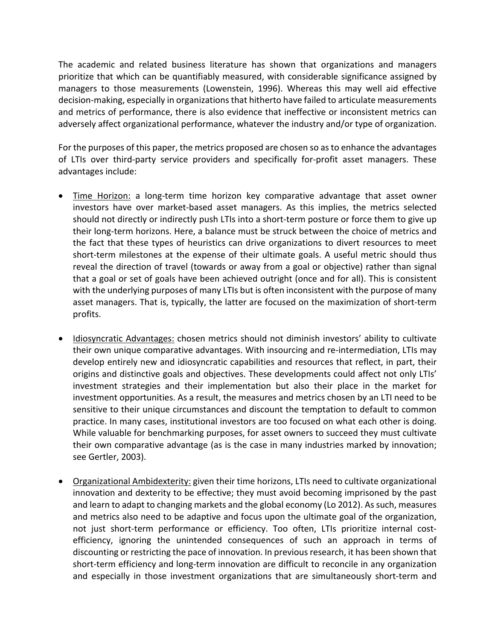The academic and related business literature has shown that organizations and managers prioritize that which can be quantifiably measured, with considerable significance assigned by managers to those measurements (Lowenstein, 1996). Whereas this may well aid effective decision-making, especially in organizations that hitherto have failed to articulate measurements and metrics of performance, there is also evidence that ineffective or inconsistent metrics can adversely affect organizational performance, whatever the industry and/or type of organization.

For the purposes of this paper, the metrics proposed are chosen so as to enhance the advantages of LTIs over third-party service providers and specifically for-profit asset managers. These advantages include:

- Time Horizon: a long-term time horizon key comparative advantage that asset owner investors have over market-based asset managers. As this implies, the metrics selected should not directly or indirectly push LTIs into a short-term posture or force them to give up their long-term horizons. Here, a balance must be struck between the choice of metrics and the fact that these types of heuristics can drive organizations to divert resources to meet short-term milestones at the expense of their ultimate goals. A useful metric should thus reveal the direction of travel (towards or away from a goal or objective) rather than signal that a goal or set of goals have been achieved outright (once and for all). This is consistent with the underlying purposes of many LTIs but is often inconsistent with the purpose of many asset managers. That is, typically, the latter are focused on the maximization of short-term profits.
- Idiosyncratic Advantages: chosen metrics should not diminish investors' ability to cultivate their own unique comparative advantages. With insourcing and re-intermediation, LTIs may develop entirely new and idiosyncratic capabilities and resources that reflect, in part, their origins and distinctive goals and objectives. These developments could affect not only LTIs' investment strategies and their implementation but also their place in the market for investment opportunities. As a result, the measures and metrics chosen by an LTI need to be sensitive to their unique circumstances and discount the temptation to default to common practice. In many cases, institutional investors are too focused on what each other is doing. While valuable for benchmarking purposes, for asset owners to succeed they must cultivate their own comparative advantage (as is the case in many industries marked by innovation; see Gertler, 2003).
- Organizational Ambidexterity: given their time horizons, LTIs need to cultivate organizational innovation and dexterity to be effective; they must avoid becoming imprisoned by the past and learn to adapt to changing markets and the global economy (Lo 2012). As such, measures and metrics also need to be adaptive and focus upon the ultimate goal of the organization, not just short-term performance or efficiency. Too often, LTIs prioritize internal costefficiency, ignoring the unintended consequences of such an approach in terms of discounting or restricting the pace of innovation. In previous research, it has been shown that short-term efficiency and long-term innovation are difficult to reconcile in any organization and especially in those investment organizations that are simultaneously short-term and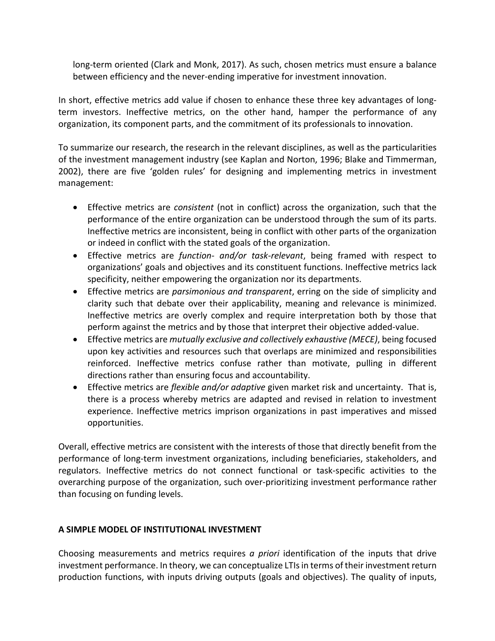long-term oriented (Clark and Monk, 2017). As such, chosen metrics must ensure a balance between efficiency and the never-ending imperative for investment innovation.

In short, effective metrics add value if chosen to enhance these three key advantages of longterm investors. Ineffective metrics, on the other hand, hamper the performance of any organization, its component parts, and the commitment of its professionals to innovation.

To summarize our research, the research in the relevant disciplines, as well as the particularities of the investment management industry (see Kaplan and Norton, 1996; Blake and Timmerman, 2002), there are five 'golden rules' for designing and implementing metrics in investment management:

- Effective metrics are *consistent* (not in conflict) across the organization, such that the performance of the entire organization can be understood through the sum of its parts. Ineffective metrics are inconsistent, being in conflict with other parts of the organization or indeed in conflict with the stated goals of the organization.
- Effective metrics are *function- and/or task-relevant*, being framed with respect to organizations' goals and objectives and its constituent functions. Ineffective metrics lack specificity, neither empowering the organization nor its departments.
- Effective metrics are *parsimonious and transparent*, erring on the side of simplicity and clarity such that debate over their applicability, meaning and relevance is minimized. Ineffective metrics are overly complex and require interpretation both by those that perform against the metrics and by those that interpret their objective added-value.
- Effective metrics are *mutually exclusive and collectively exhaustive (MECE)*, being focused upon key activities and resources such that overlaps are minimized and responsibilities reinforced. Ineffective metrics confuse rather than motivate, pulling in different directions rather than ensuring focus and accountability.
- Effective metrics are *flexible and/or adaptive* given market risk and uncertainty. That is, there is a process whereby metrics are adapted and revised in relation to investment experience. Ineffective metrics imprison organizations in past imperatives and missed opportunities.

Overall, effective metrics are consistent with the interests of those that directly benefit from the performance of long-term investment organizations, including beneficiaries, stakeholders, and regulators. Ineffective metrics do not connect functional or task-specific activities to the overarching purpose of the organization, such over-prioritizing investment performance rather than focusing on funding levels.

## **A SIMPLE MODEL OF INSTITUTIONAL INVESTMENT**

Choosing measurements and metrics requires *a priori* identification of the inputs that drive investment performance. In theory, we can conceptualize LTIs in terms of their investment return production functions, with inputs driving outputs (goals and objectives). The quality of inputs,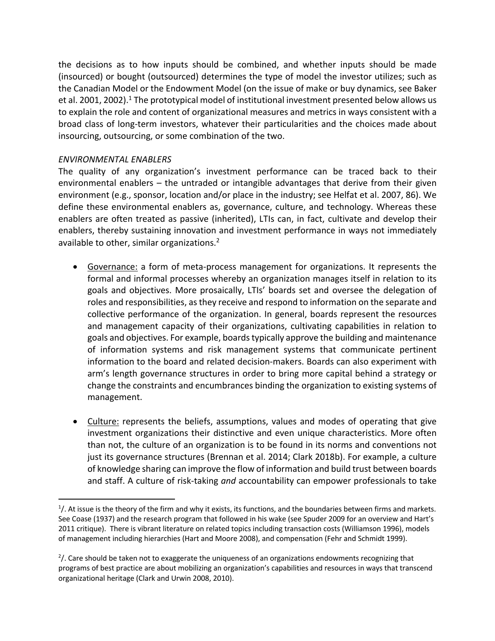the decisions as to how inputs should be combined, and whether inputs should be made (insourced) or bought (outsourced) determines the type of model the investor utilizes; such as the Canadian Model or the Endowment Model (on the issue of make or buy dynamics, see Baker et al. 2001, 2002).<sup>1</sup> The prototypical model of institutional investment presented below allows us to explain the role and content of organizational measures and metrics in ways consistent with a broad class of long-term investors, whatever their particularities and the choices made about insourcing, outsourcing, or some combination of the two.

### *ENVIRONMENTAL ENABLERS*

The quality of any organization's investment performance can be traced back to their environmental enablers – the untraded or intangible advantages that derive from their given environment (e.g., sponsor, location and/or place in the industry; see Helfat et al. 2007, 86). We define these environmental enablers as, governance, culture, and technology. Whereas these enablers are often treated as passive (inherited), LTIs can, in fact, cultivate and develop their enablers, thereby sustaining innovation and investment performance in ways not immediately available to other, similar organizations.<sup>2</sup>

- Governance: a form of meta-process management for organizations. It represents the formal and informal processes whereby an organization manages itself in relation to its goals and objectives. More prosaically, LTIs' boards set and oversee the delegation of roles and responsibilities, as they receive and respond to information on the separate and collective performance of the organization. In general, boards represent the resources and management capacity of their organizations, cultivating capabilities in relation to goals and objectives. For example, boards typically approve the building and maintenance of information systems and risk management systems that communicate pertinent information to the board and related decision-makers. Boards can also experiment with arm's length governance structures in order to bring more capital behind a strategy or change the constraints and encumbrances binding the organization to existing systems of management.
- Culture: represents the beliefs, assumptions, values and modes of operating that give investment organizations their distinctive and even unique characteristics. More often than not, the culture of an organization is to be found in its norms and conventions not just its governance structures (Brennan et al. 2014; Clark 2018b). For example, a culture of knowledge sharing can improve the flow of information and build trust between boards and staff. A culture of risk-taking *and* accountability can empower professionals to take

 $\frac{1}{1}$  $<sup>1</sup>$ . At issue is the theory of the firm and why it exists, its functions, and the boundaries between firms and markets.</sup> See Coase (1937) and the research program that followed in his wake (see Spuder 2009 for an overview and Hart's 2011 critique). There is vibrant literature on related topics including transaction costs (Williamson 1996), models of management including hierarchies (Hart and Moore 2008), and compensation (Fehr and Schmidt 1999).

 $2/$ . Care should be taken not to exaggerate the uniqueness of an organizations endowments recognizing that programs of best practice are about mobilizing an organization's capabilities and resources in ways that transcend organizational heritage (Clark and Urwin 2008, 2010).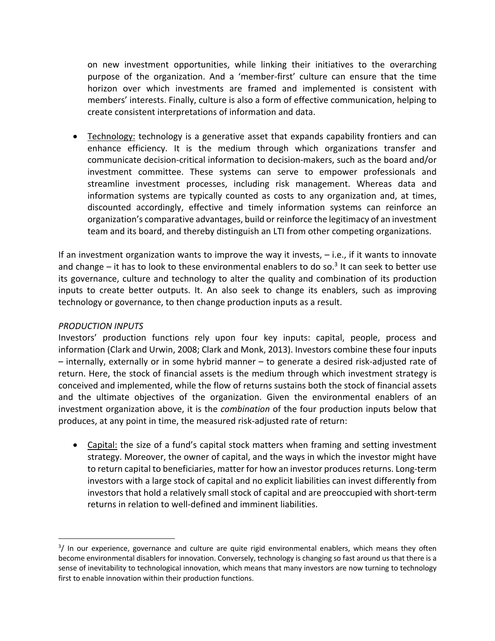on new investment opportunities, while linking their initiatives to the overarching purpose of the organization. And a 'member-first' culture can ensure that the time horizon over which investments are framed and implemented is consistent with members' interests. Finally, culture is also a form of effective communication, helping to create consistent interpretations of information and data.

• Technology: technology is a generative asset that expands capability frontiers and can enhance efficiency. It is the medium through which organizations transfer and communicate decision-critical information to decision-makers, such as the board and/or investment committee. These systems can serve to empower professionals and streamline investment processes, including risk management. Whereas data and information systems are typically counted as costs to any organization and, at times, discounted accordingly, effective and timely information systems can reinforce an organization's comparative advantages, build or reinforce the legitimacy of an investment team and its board, and thereby distinguish an LTI from other competing organizations.

If an investment organization wants to improve the way it invests, – i.e., if it wants to innovate and change – it has to look to these environmental enablers to do so.<sup>3</sup> It can seek to better use its governance, culture and technology to alter the quality and combination of its production inputs to create better outputs. It. An also seek to change its enablers, such as improving technology or governance, to then change production inputs as a result.

#### *PRODUCTION INPUTS*

Investors' production functions rely upon four key inputs: capital, people, process and information (Clark and Urwin, 2008; Clark and Monk, 2013). Investors combine these four inputs – internally, externally or in some hybrid manner – to generate a desired risk-adjusted rate of return. Here, the stock of financial assets is the medium through which investment strategy is conceived and implemented, while the flow of returns sustains both the stock of financial assets and the ultimate objectives of the organization. Given the environmental enablers of an investment organization above, it is the *combination* of the four production inputs below that produces, at any point in time, the measured risk-adjusted rate of return:

• Capital: the size of a fund's capital stock matters when framing and setting investment strategy. Moreover, the owner of capital, and the ways in which the investor might have to return capital to beneficiaries, matter for how an investor produces returns. Long-term investors with a large stock of capital and no explicit liabilities can invest differently from investors that hold a relatively small stock of capital and are preoccupied with short-term returns in relation to well-defined and imminent liabilities.

<sup>—&</sup>lt;br>3  $3/$  In our experience, governance and culture are quite rigid environmental enablers, which means they often become environmental disablers for innovation. Conversely, technology is changing so fast around us that there is a sense of inevitability to technological innovation, which means that many investors are now turning to technology first to enable innovation within their production functions.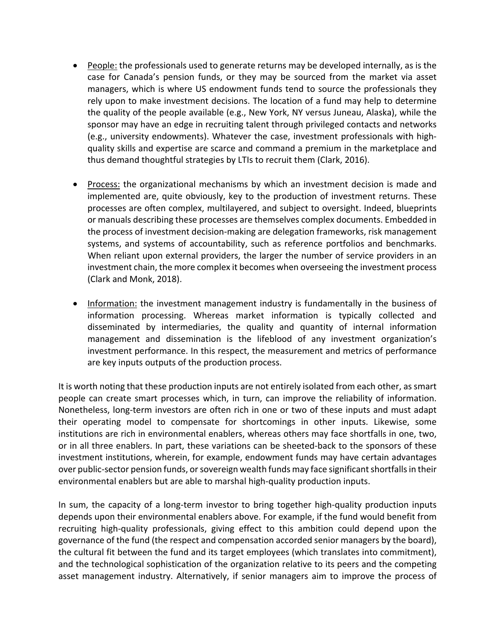- People: the professionals used to generate returns may be developed internally, as is the case for Canada's pension funds, or they may be sourced from the market via asset managers, which is where US endowment funds tend to source the professionals they rely upon to make investment decisions. The location of a fund may help to determine the quality of the people available (e.g., New York, NY versus Juneau, Alaska), while the sponsor may have an edge in recruiting talent through privileged contacts and networks (e.g., university endowments). Whatever the case, investment professionals with highquality skills and expertise are scarce and command a premium in the marketplace and thus demand thoughtful strategies by LTIs to recruit them (Clark, 2016).
- Process: the organizational mechanisms by which an investment decision is made and implemented are, quite obviously, key to the production of investment returns. These processes are often complex, multilayered, and subject to oversight. Indeed, blueprints or manuals describing these processes are themselves complex documents. Embedded in the process of investment decision-making are delegation frameworks, risk management systems, and systems of accountability, such as reference portfolios and benchmarks. When reliant upon external providers, the larger the number of service providers in an investment chain, the more complex it becomes when overseeing the investment process (Clark and Monk, 2018).
- Information: the investment management industry is fundamentally in the business of information processing. Whereas market information is typically collected and disseminated by intermediaries, the quality and quantity of internal information management and dissemination is the lifeblood of any investment organization's investment performance. In this respect, the measurement and metrics of performance are key inputs outputs of the production process.

It is worth noting that these production inputs are not entirely isolated from each other, as smart people can create smart processes which, in turn, can improve the reliability of information. Nonetheless, long-term investors are often rich in one or two of these inputs and must adapt their operating model to compensate for shortcomings in other inputs. Likewise, some institutions are rich in environmental enablers, whereas others may face shortfalls in one, two, or in all three enablers. In part, these variations can be sheeted-back to the sponsors of these investment institutions, wherein, for example, endowment funds may have certain advantages over public-sector pension funds, or sovereign wealth funds may face significant shortfalls in their environmental enablers but are able to marshal high-quality production inputs.

In sum, the capacity of a long-term investor to bring together high-quality production inputs depends upon their environmental enablers above. For example, if the fund would benefit from recruiting high-quality professionals, giving effect to this ambition could depend upon the governance of the fund (the respect and compensation accorded senior managers by the board), the cultural fit between the fund and its target employees (which translates into commitment), and the technological sophistication of the organization relative to its peers and the competing asset management industry. Alternatively, if senior managers aim to improve the process of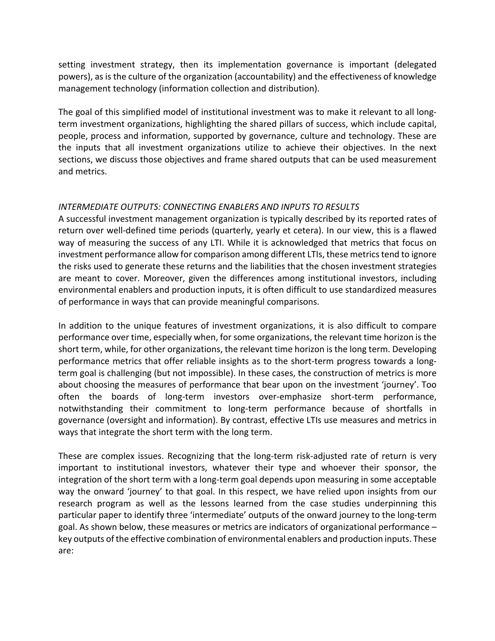setting investment strategy, then its implementation governance is important (delegated powers), as is the culture of the organization (accountability) and the effectiveness of knowledge management technology (information collection and distribution).

The goal of this simplified model of institutional investment was to make it relevant to all longterm investment organizations, highlighting the shared pillars of success, which include capital, people, process and information, supported by governance, culture and technology. These are the inputs that all investment organizations utilize to achieve their objectives. In the next sections, we discuss those objectives and frame shared outputs that can be used measurement and metrics.

## *INTERMEDIATE OUTPUTS: CONNECTING ENABLERS AND INPUTS TO RESULTS*

A successful investment management organization is typically described by its reported rates of return over well-defined time periods (quarterly, yearly et cetera). In our view, this is a flawed way of measuring the success of any LTI. While it is acknowledged that metrics that focus on investment performance allow for comparison among different LTIs, these metrics tend to ignore the risks used to generate these returns and the liabilities that the chosen investment strategies are meant to cover. Moreover, given the differences among institutional investors, including environmental enablers and production inputs, it is often difficult to use standardized measures of performance in ways that can provide meaningful comparisons.

In addition to the unique features of investment organizations, it is also difficult to compare performance over time, especially when, for some organizations, the relevant time horizon is the short term, while, for other organizations, the relevant time horizon is the long term. Developing performance metrics that offer reliable insights as to the short-term progress towards a longterm goal is challenging (but not impossible). In these cases, the construction of metrics is more about choosing the measures of performance that bear upon on the investment 'journey'. Too often the boards of long-term investors over-emphasize short-term performance, notwithstanding their commitment to long-term performance because of shortfalls in governance (oversight and information). By contrast, effective LTIs use measures and metrics in ways that integrate the short term with the long term.

These are complex issues. Recognizing that the long-term risk-adjusted rate of return is very important to institutional investors, whatever their type and whoever their sponsor, the integration of the short term with a long-term goal depends upon measuring in some acceptable way the onward 'journey' to that goal. In this respect, we have relied upon insights from our research program as well as the lessons learned from the case studies underpinning this particular paper to identify three 'intermediate' outputs of the onward journey to the long-term goal. As shown below, these measures or metrics are indicators of organizational performance – key outputs of the effective combination of environmental enablers and production inputs. These are: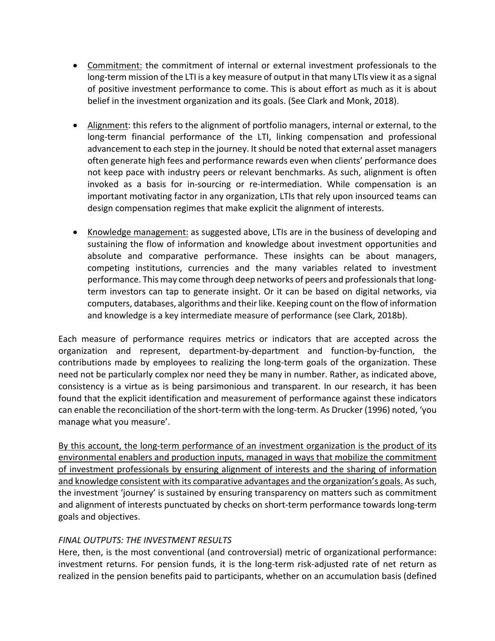- Commitment: the commitment of internal or external investment professionals to the long-term mission of the LTI is a key measure of output in that many LTIs view it as a signal of positive investment performance to come. This is about effort as much as it is about belief in the investment organization and its goals. (See Clark and Monk, 2018).
- Alignment: this refers to the alignment of portfolio managers, internal or external, to the long-term financial performance of the LTI, linking compensation and professional advancement to each step in the journey. It should be noted that external asset managers often generate high fees and performance rewards even when clients' performance does not keep pace with industry peers or relevant benchmarks. As such, alignment is often invoked as a basis for in-sourcing or re-intermediation. While compensation is an important motivating factor in any organization, LTIs that rely upon insourced teams can design compensation regimes that make explicit the alignment of interests.
- Knowledge management: as suggested above, LTIs are in the business of developing and sustaining the flow of information and knowledge about investment opportunities and absolute and comparative performance. These insights can be about managers, competing institutions, currencies and the many variables related to investment performance. This may come through deep networks of peers and professionals that longterm investors can tap to generate insight. Or it can be based on digital networks, via computers, databases, algorithms and their like. Keeping count on the flow of information and knowledge is a key intermediate measure of performance (see Clark, 2018b).

Each measure of performance requires metrics or indicators that are accepted across the organization and represent, department-by-department and function-by-function, the contributions made by employees to realizing the long-term goals of the organization. These need not be particularly complex nor need they be many in number. Rather, as indicated above, consistency is a virtue as is being parsimonious and transparent. In our research, it has been found that the explicit identification and measurement of performance against these indicators can enable the reconciliation of the short-term with the long-term. As Drucker (1996) noted, 'you manage what you measure'.

By this account, the long-term performance of an investment organization is the product of its environmental enablers and production inputs, managed in ways that mobilize the commitment of investment professionals by ensuring alignment of interests and the sharing of information and knowledge consistent with its comparative advantages and the organization's goals. As such, the investment 'journey' is sustained by ensuring transparency on matters such as commitment and alignment of interests punctuated by checks on short-term performance towards long-term goals and objectives.

#### *FINAL OUTPUTS: THE INVESTMENT RESULTS*

Here, then, is the most conventional (and controversial) metric of organizational performance: investment returns. For pension funds, it is the long-term risk-adjusted rate of net return as realized in the pension benefits paid to participants, whether on an accumulation basis (defined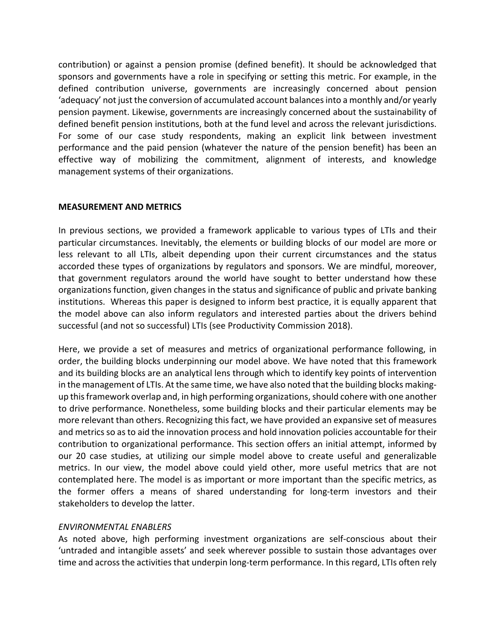contribution) or against a pension promise (defined benefit). It should be acknowledged that sponsors and governments have a role in specifying or setting this metric. For example, in the defined contribution universe, governments are increasingly concerned about pension 'adequacy' not just the conversion of accumulated account balances into a monthly and/or yearly pension payment. Likewise, governments are increasingly concerned about the sustainability of defined benefit pension institutions, both at the fund level and across the relevant jurisdictions. For some of our case study respondents, making an explicit link between investment performance and the paid pension (whatever the nature of the pension benefit) has been an effective way of mobilizing the commitment, alignment of interests, and knowledge management systems of their organizations.

#### **MEASUREMENT AND METRICS**

In previous sections, we provided a framework applicable to various types of LTIs and their particular circumstances. Inevitably, the elements or building blocks of our model are more or less relevant to all LTIs, albeit depending upon their current circumstances and the status accorded these types of organizations by regulators and sponsors. We are mindful, moreover, that government regulators around the world have sought to better understand how these organizations function, given changes in the status and significance of public and private banking institutions. Whereas this paper is designed to inform best practice, it is equally apparent that the model above can also inform regulators and interested parties about the drivers behind successful (and not so successful) LTIs (see Productivity Commission 2018).

Here, we provide a set of measures and metrics of organizational performance following, in order, the building blocks underpinning our model above. We have noted that this framework and its building blocks are an analytical lens through which to identify key points of intervention in the management of LTIs. At the same time, we have also noted that the building blocks makingup this framework overlap and, in high performing organizations, should cohere with one another to drive performance. Nonetheless, some building blocks and their particular elements may be more relevant than others. Recognizing this fact, we have provided an expansive set of measures and metrics so as to aid the innovation process and hold innovation policies accountable for their contribution to organizational performance. This section offers an initial attempt, informed by our 20 case studies, at utilizing our simple model above to create useful and generalizable metrics. In our view, the model above could yield other, more useful metrics that are not contemplated here. The model is as important or more important than the specific metrics, as the former offers a means of shared understanding for long-term investors and their stakeholders to develop the latter.

#### *ENVIRONMENTAL ENABLERS*

As noted above, high performing investment organizations are self-conscious about their 'untraded and intangible assets' and seek wherever possible to sustain those advantages over time and across the activities that underpin long-term performance. In this regard, LTIs often rely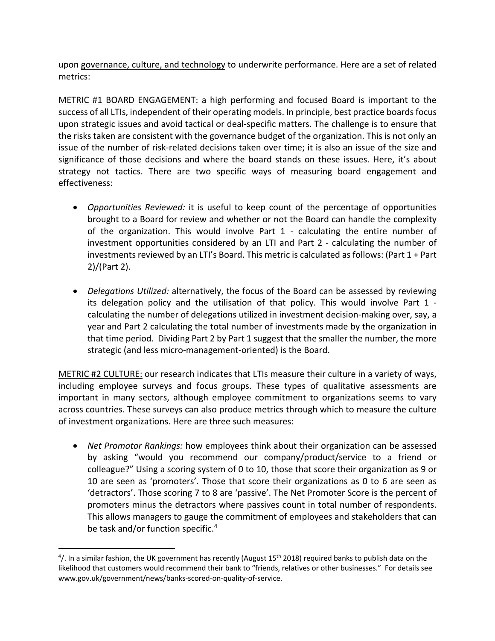upon governance, culture, and technology to underwrite performance. Here are a set of related metrics:

METRIC #1 BOARD ENGAGEMENT: a high performing and focused Board is important to the success of all LTIs, independent of their operating models. In principle, best practice boards focus upon strategic issues and avoid tactical or deal-specific matters. The challenge is to ensure that the risks taken are consistent with the governance budget of the organization. This is not only an issue of the number of risk-related decisions taken over time; it is also an issue of the size and significance of those decisions and where the board stands on these issues. Here, it's about strategy not tactics. There are two specific ways of measuring board engagement and effectiveness:

- *Opportunities Reviewed:* it is useful to keep count of the percentage of opportunities brought to a Board for review and whether or not the Board can handle the complexity of the organization. This would involve Part 1 - calculating the entire number of investment opportunities considered by an LTI and Part 2 - calculating the number of investments reviewed by an LTI's Board. This metric is calculated as follows: (Part 1 + Part 2)/(Part 2).
- *Delegations Utilized:* alternatively, the focus of the Board can be assessed by reviewing its delegation policy and the utilisation of that policy. This would involve Part 1 calculating the number of delegations utilized in investment decision-making over, say, a year and Part 2 calculating the total number of investments made by the organization in that time period. Dividing Part 2 by Part 1 suggest that the smaller the number, the more strategic (and less micro-management-oriented) is the Board.

METRIC #2 CULTURE: our research indicates that LTIs measure their culture in a variety of ways, including employee surveys and focus groups. These types of qualitative assessments are important in many sectors, although employee commitment to organizations seems to vary across countries. These surveys can also produce metrics through which to measure the culture of investment organizations. Here are three such measures:

• *Net Promotor Rankings:* how employees think about their organization can be assessed by asking "would you recommend our company/product/service to a friend or colleague?" Using a scoring system of 0 to 10, those that score their organization as 9 or 10 are seen as 'promoters'. Those that score their organizations as 0 to 6 are seen as 'detractors'. Those scoring 7 to 8 are 'passive'. The Net Promoter Score is the percent of promoters minus the detractors where passives count in total number of respondents. This allows managers to gauge the commitment of employees and stakeholders that can be task and/or function specific.<sup>4</sup>

 $\frac{1}{4}$  $4/$ . In a similar fashion, the UK government has recently (August 15<sup>th</sup> 2018) required banks to publish data on the likelihood that customers would recommend their bank to "friends, relatives or other businesses." For details see www.gov.uk/government/news/banks-scored-on-quality-of-service.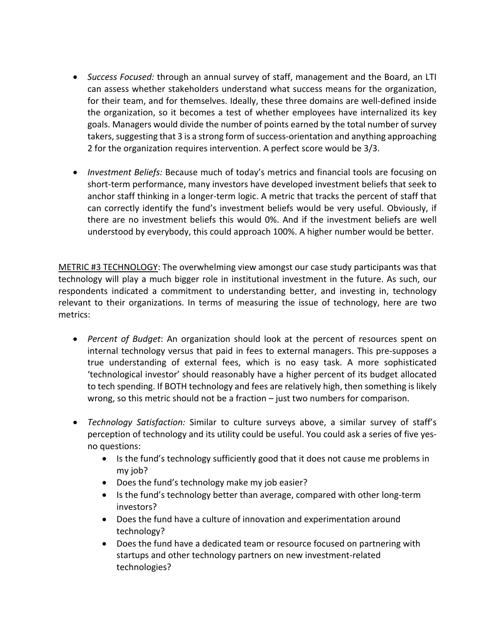- *Success Focused:* through an annual survey of staff, management and the Board, an LTI can assess whether stakeholders understand what success means for the organization, for their team, and for themselves. Ideally, these three domains are well-defined inside the organization, so it becomes a test of whether employees have internalized its key goals. Managers would divide the number of points earned by the total number of survey takers, suggesting that 3 is a strong form of success-orientation and anything approaching 2 for the organization requires intervention. A perfect score would be 3/3.
- *Investment Beliefs:* Because much of today's metrics and financial tools are focusing on short-term performance, many investors have developed investment beliefs that seek to anchor staff thinking in a longer-term logic. A metric that tracks the percent of staff that can correctly identify the fund's investment beliefs would be very useful. Obviously, if there are no investment beliefs this would 0%. And if the investment beliefs are well understood by everybody, this could approach 100%. A higher number would be better.

METRIC #3 TECHNOLOGY: The overwhelming view amongst our case study participants was that technology will play a much bigger role in institutional investment in the future. As such, our respondents indicated a commitment to understanding better, and investing in, technology relevant to their organizations. In terms of measuring the issue of technology, here are two metrics:

- *Percent of Budget*: An organization should look at the percent of resources spent on internal technology versus that paid in fees to external managers. This pre-supposes a true understanding of external fees, which is no easy task. A more sophisticated 'technological investor' should reasonably have a higher percent of its budget allocated to tech spending. If BOTH technology and fees are relatively high, then something is likely wrong, so this metric should not be a fraction – just two numbers for comparison.
- *Technology Satisfaction:* Similar to culture surveys above, a similar survey of staff's perception of technology and its utility could be useful. You could ask a series of five yesno questions:
	- Is the fund's technology sufficiently good that it does not cause me problems in my job?
	- Does the fund's technology make my job easier?
	- Is the fund's technology better than average, compared with other long-term investors?
	- Does the fund have a culture of innovation and experimentation around technology?
	- Does the fund have a dedicated team or resource focused on partnering with startups and other technology partners on new investment-related technologies?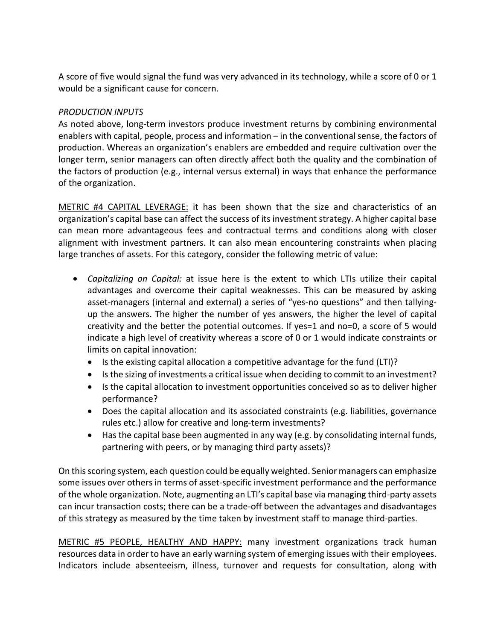A score of five would signal the fund was very advanced in its technology, while a score of 0 or 1 would be a significant cause for concern.

## *PRODUCTION INPUTS*

As noted above, long-term investors produce investment returns by combining environmental enablers with capital, people, process and information – in the conventional sense, the factors of production. Whereas an organization's enablers are embedded and require cultivation over the longer term, senior managers can often directly affect both the quality and the combination of the factors of production (e.g., internal versus external) in ways that enhance the performance of the organization.

METRIC #4 CAPITAL LEVERAGE: it has been shown that the size and characteristics of an organization's capital base can affect the success of its investment strategy. A higher capital base can mean more advantageous fees and contractual terms and conditions along with closer alignment with investment partners. It can also mean encountering constraints when placing large tranches of assets. For this category, consider the following metric of value:

- *Capitalizing on Capital:* at issue here is the extent to which LTIs utilize their capital advantages and overcome their capital weaknesses. This can be measured by asking asset-managers (internal and external) a series of "yes-no questions" and then tallyingup the answers. The higher the number of yes answers, the higher the level of capital creativity and the better the potential outcomes. If yes=1 and no=0, a score of 5 would indicate a high level of creativity whereas a score of 0 or 1 would indicate constraints or limits on capital innovation:
	- Is the existing capital allocation a competitive advantage for the fund (LTI)?
	- Is the sizing of investments a critical issue when deciding to commit to an investment?
	- Is the capital allocation to investment opportunities conceived so as to deliver higher performance?
	- Does the capital allocation and its associated constraints (e.g. liabilities, governance rules etc.) allow for creative and long-term investments?
	- Has the capital base been augmented in any way (e.g. by consolidating internal funds, partnering with peers, or by managing third party assets)?

On this scoring system, each question could be equally weighted. Senior managers can emphasize some issues over others in terms of asset-specific investment performance and the performance of the whole organization. Note, augmenting an LTI's capital base via managing third-party assets can incur transaction costs; there can be a trade-off between the advantages and disadvantages of this strategy as measured by the time taken by investment staff to manage third-parties.

METRIC #5 PEOPLE, HEALTHY AND HAPPY: many investment organizations track human resources data in order to have an early warning system of emerging issues with their employees. Indicators include absenteeism, illness, turnover and requests for consultation, along with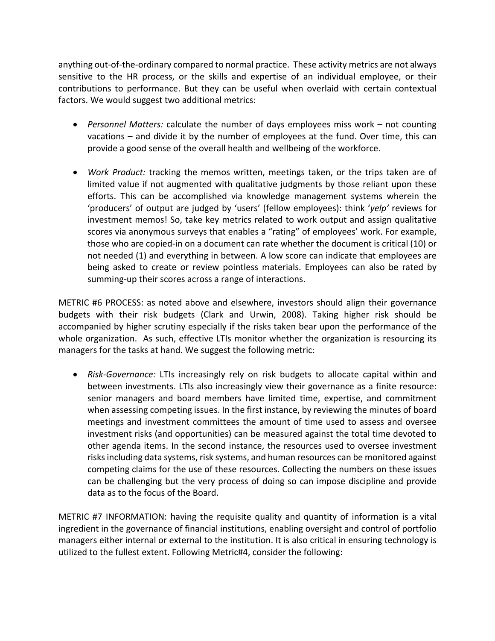anything out-of-the-ordinary compared to normal practice. These activity metrics are not always sensitive to the HR process, or the skills and expertise of an individual employee, or their contributions to performance. But they can be useful when overlaid with certain contextual factors. We would suggest two additional metrics:

- *Personnel Matters:* calculate the number of days employees miss work not counting vacations – and divide it by the number of employees at the fund. Over time, this can provide a good sense of the overall health and wellbeing of the workforce.
- *Work Product:* tracking the memos written, meetings taken, or the trips taken are of limited value if not augmented with qualitative judgments by those reliant upon these efforts. This can be accomplished via knowledge management systems wherein the 'producers' of output are judged by 'users' (fellow employees): think '*yelp'* reviews for investment memos! So, take key metrics related to work output and assign qualitative scores via anonymous surveys that enables a "rating" of employees' work. For example, those who are copied-in on a document can rate whether the document is critical (10) or not needed (1) and everything in between. A low score can indicate that employees are being asked to create or review pointless materials. Employees can also be rated by summing-up their scores across a range of interactions.

METRIC #6 PROCESS: as noted above and elsewhere, investors should align their governance budgets with their risk budgets (Clark and Urwin, 2008). Taking higher risk should be accompanied by higher scrutiny especially if the risks taken bear upon the performance of the whole organization. As such, effective LTIs monitor whether the organization is resourcing its managers for the tasks at hand. We suggest the following metric:

• *Risk-Governance:* LTIs increasingly rely on risk budgets to allocate capital within and between investments. LTIs also increasingly view their governance as a finite resource: senior managers and board members have limited time, expertise, and commitment when assessing competing issues. In the first instance, by reviewing the minutes of board meetings and investment committees the amount of time used to assess and oversee investment risks (and opportunities) can be measured against the total time devoted to other agenda items. In the second instance, the resources used to oversee investment risks including data systems, risk systems, and human resources can be monitored against competing claims for the use of these resources. Collecting the numbers on these issues can be challenging but the very process of doing so can impose discipline and provide data as to the focus of the Board.

METRIC #7 INFORMATION: having the requisite quality and quantity of information is a vital ingredient in the governance of financial institutions, enabling oversight and control of portfolio managers either internal or external to the institution. It is also critical in ensuring technology is utilized to the fullest extent. Following Metric#4, consider the following: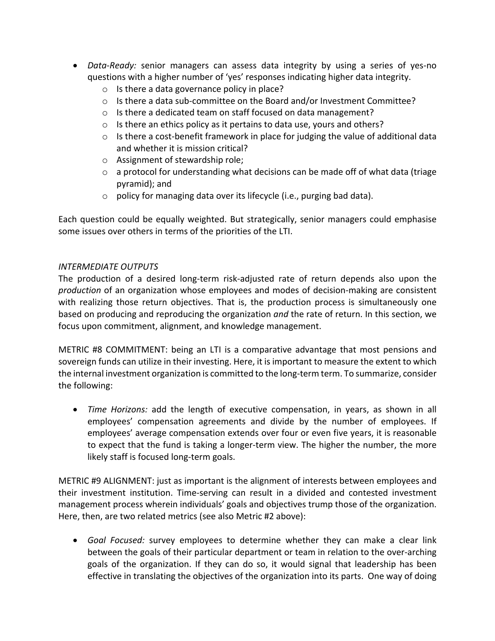- *Data-Ready:* senior managers can assess data integrity by using a series of yes-no questions with a higher number of 'yes' responses indicating higher data integrity.
	- o Is there a data governance policy in place?
	- o Is there a data sub-committee on the Board and/or Investment Committee?
	- o Is there a dedicated team on staff focused on data management?
	- o Is there an ethics policy as it pertains to data use, yours and others?
	- $\circ$  Is there a cost-benefit framework in place for judging the value of additional data and whether it is mission critical?
	- o Assignment of stewardship role;
	- o a protocol for understanding what decisions can be made off of what data (triage pyramid); and
	- o policy for managing data over its lifecycle (i.e., purging bad data).

Each question could be equally weighted. But strategically, senior managers could emphasise some issues over others in terms of the priorities of the LTI.

## *INTERMEDIATE OUTPUTS*

The production of a desired long-term risk-adjusted rate of return depends also upon the *production* of an organization whose employees and modes of decision-making are consistent with realizing those return objectives. That is, the production process is simultaneously one based on producing and reproducing the organization *and* the rate of return. In this section, we focus upon commitment, alignment, and knowledge management.

METRIC #8 COMMITMENT: being an LTI is a comparative advantage that most pensions and sovereign funds can utilize in their investing. Here, it is important to measure the extent to which the internal investment organization is committed to the long-term term. To summarize, consider the following:

• *Time Horizons:* add the length of executive compensation, in years, as shown in all employees' compensation agreements and divide by the number of employees. If employees' average compensation extends over four or even five years, it is reasonable to expect that the fund is taking a longer-term view. The higher the number, the more likely staff is focused long-term goals.

METRIC #9 ALIGNMENT: just as important is the alignment of interests between employees and their investment institution. Time-serving can result in a divided and contested investment management process wherein individuals' goals and objectives trump those of the organization. Here, then, are two related metrics (see also Metric #2 above):

• *Goal Focused:* survey employees to determine whether they can make a clear link between the goals of their particular department or team in relation to the over-arching goals of the organization. If they can do so, it would signal that leadership has been effective in translating the objectives of the organization into its parts. One way of doing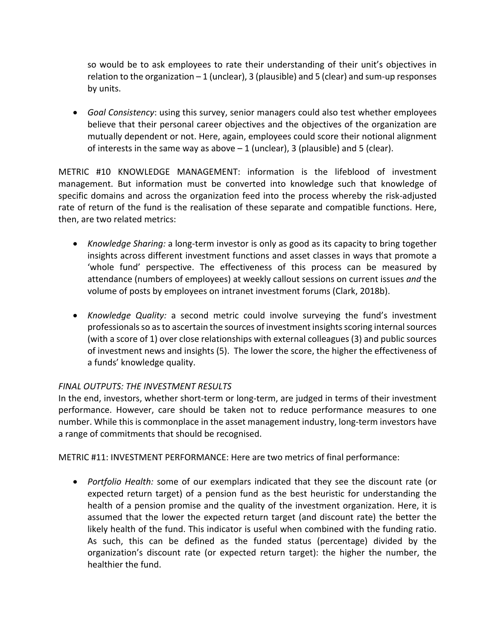so would be to ask employees to rate their understanding of their unit's objectives in relation to the organization  $-1$  (unclear), 3 (plausible) and 5 (clear) and sum-up responses by units.

• *Goal Consistency*: using this survey, senior managers could also test whether employees believe that their personal career objectives and the objectives of the organization are mutually dependent or not. Here, again, employees could score their notional alignment of interests in the same way as above  $-1$  (unclear), 3 (plausible) and 5 (clear).

METRIC #10 KNOWLEDGE MANAGEMENT: information is the lifeblood of investment management. But information must be converted into knowledge such that knowledge of specific domains and across the organization feed into the process whereby the risk-adjusted rate of return of the fund is the realisation of these separate and compatible functions. Here, then, are two related metrics:

- *Knowledge Sharing:* a long-term investor is only as good as its capacity to bring together insights across different investment functions and asset classes in ways that promote a 'whole fund' perspective. The effectiveness of this process can be measured by attendance (numbers of employees) at weekly callout sessions on current issues *and* the volume of posts by employees on intranet investment forums (Clark, 2018b).
- *Knowledge Quality:* a second metric could involve surveying the fund's investment professionals so as to ascertain the sources of investment insights scoring internal sources (with a score of 1) over close relationships with external colleagues (3) and public sources of investment news and insights (5). The lower the score, the higher the effectiveness of a funds' knowledge quality.

## *FINAL OUTPUTS: THE INVESTMENT RESULTS*

In the end, investors, whether short-term or long-term, are judged in terms of their investment performance. However, care should be taken not to reduce performance measures to one number. While this is commonplace in the asset management industry, long-term investors have a range of commitments that should be recognised.

METRIC #11: INVESTMENT PERFORMANCE: Here are two metrics of final performance:

• *Portfolio Health:* some of our exemplars indicated that they see the discount rate (or expected return target) of a pension fund as the best heuristic for understanding the health of a pension promise and the quality of the investment organization. Here, it is assumed that the lower the expected return target (and discount rate) the better the likely health of the fund. This indicator is useful when combined with the funding ratio. As such, this can be defined as the funded status (percentage) divided by the organization's discount rate (or expected return target): the higher the number, the healthier the fund.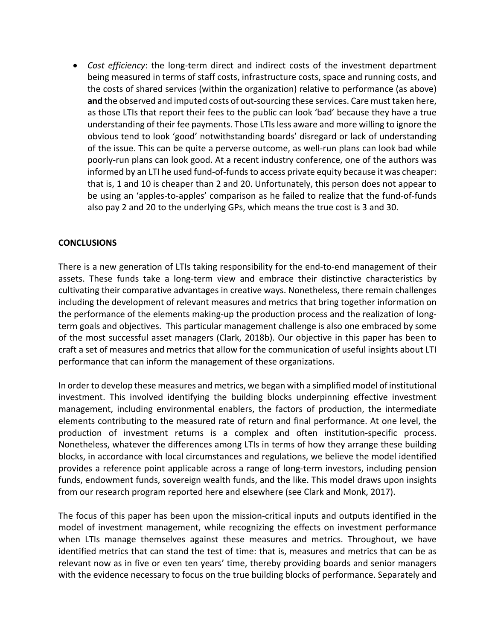• *Cost efficiency*: the long-term direct and indirect costs of the investment department being measured in terms of staff costs, infrastructure costs, space and running costs, and the costs of shared services (within the organization) relative to performance (as above) **and** the observed and imputed costs of out-sourcing these services. Care must taken here, as those LTIs that report their fees to the public can look 'bad' because they have a true understanding of their fee payments. Those LTIs less aware and more willing to ignore the obvious tend to look 'good' notwithstanding boards' disregard or lack of understanding of the issue. This can be quite a perverse outcome, as well-run plans can look bad while poorly-run plans can look good. At a recent industry conference, one of the authors was informed by an LTI he used fund-of-funds to access private equity because it was cheaper: that is, 1 and 10 is cheaper than 2 and 20. Unfortunately, this person does not appear to be using an 'apples-to-apples' comparison as he failed to realize that the fund-of-funds also pay 2 and 20 to the underlying GPs, which means the true cost is 3 and 30.

#### **CONCLUSIONS**

There is a new generation of LTIs taking responsibility for the end-to-end management of their assets. These funds take a long-term view and embrace their distinctive characteristics by cultivating their comparative advantages in creative ways. Nonetheless, there remain challenges including the development of relevant measures and metrics that bring together information on the performance of the elements making-up the production process and the realization of longterm goals and objectives. This particular management challenge is also one embraced by some of the most successful asset managers (Clark, 2018b). Our objective in this paper has been to craft a set of measures and metrics that allow for the communication of useful insights about LTI performance that can inform the management of these organizations.

In order to develop these measures and metrics, we began with a simplified model of institutional investment. This involved identifying the building blocks underpinning effective investment management, including environmental enablers, the factors of production, the intermediate elements contributing to the measured rate of return and final performance. At one level, the production of investment returns is a complex and often institution-specific process. Nonetheless, whatever the differences among LTIs in terms of how they arrange these building blocks, in accordance with local circumstances and regulations, we believe the model identified provides a reference point applicable across a range of long-term investors, including pension funds, endowment funds, sovereign wealth funds, and the like. This model draws upon insights from our research program reported here and elsewhere (see Clark and Monk, 2017).

The focus of this paper has been upon the mission-critical inputs and outputs identified in the model of investment management, while recognizing the effects on investment performance when LTIs manage themselves against these measures and metrics. Throughout, we have identified metrics that can stand the test of time: that is, measures and metrics that can be as relevant now as in five or even ten years' time, thereby providing boards and senior managers with the evidence necessary to focus on the true building blocks of performance. Separately and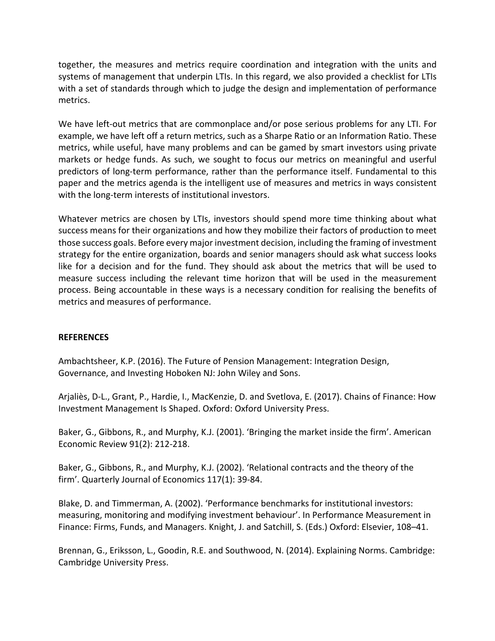together, the measures and metrics require coordination and integration with the units and systems of management that underpin LTIs. In this regard, we also provided a checklist for LTIs with a set of standards through which to judge the design and implementation of performance metrics.

We have left-out metrics that are commonplace and/or pose serious problems for any LTI. For example, we have left off a return metrics, such as a Sharpe Ratio or an Information Ratio. These metrics, while useful, have many problems and can be gamed by smart investors using private markets or hedge funds. As such, we sought to focus our metrics on meaningful and userful predictors of long-term performance, rather than the performance itself. Fundamental to this paper and the metrics agenda is the intelligent use of measures and metrics in ways consistent with the long-term interests of institutional investors.

Whatever metrics are chosen by LTIs, investors should spend more time thinking about what success means for their organizations and how they mobilize their factors of production to meet those success goals. Before every major investment decision, including the framing of investment strategy for the entire organization, boards and senior managers should ask what success looks like for a decision and for the fund. They should ask about the metrics that will be used to measure success including the relevant time horizon that will be used in the measurement process. Being accountable in these ways is a necessary condition for realising the benefits of metrics and measures of performance.

#### **REFERENCES**

Ambachtsheer, K.P. (2016). The Future of Pension Management: Integration Design, Governance, and Investing Hoboken NJ: John Wiley and Sons.

Arjaliès, D-L., Grant, P., Hardie, I., MacKenzie, D. and Svetlova, E. (2017). Chains of Finance: How Investment Management Is Shaped. Oxford: Oxford University Press.

Baker, G., Gibbons, R., and Murphy, K.J. (2001). 'Bringing the market inside the firm'. American Economic Review 91(2): 212-218.

Baker, G., Gibbons, R., and Murphy, K.J. (2002). 'Relational contracts and the theory of the firm'. Quarterly Journal of Economics 117(1): 39-84.

Blake, D. and Timmerman, A. (2002). 'Performance benchmarks for institutional investors: measuring, monitoring and modifying investment behaviour'. In Performance Measurement in Finance: Firms, Funds, and Managers. Knight, J. and Satchill, S. (Eds.) Oxford: Elsevier, 108–41.

Brennan, G., Eriksson, L., Goodin, R.E. and Southwood, N. (2014). Explaining Norms. Cambridge: Cambridge University Press.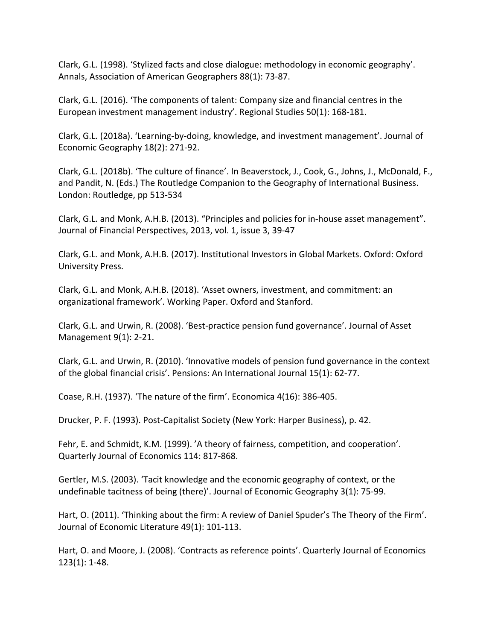Clark, G.L. (1998). 'Stylized facts and close dialogue: methodology in economic geography'. Annals, Association of American Geographers 88(1): 73-87.

Clark, G.L. (2016). 'The components of talent: Company size and financial centres in the European investment management industry'. Regional Studies 50(1): 168-181.

Clark, G.L. (2018a). 'Learning-by-doing, knowledge, and investment management'. Journal of Economic Geography 18(2): 271-92.

Clark, G.L. (2018b). 'The culture of finance'. In Beaverstock, J., Cook, G., Johns, J., McDonald, F., and Pandit, N. (Eds.) The Routledge Companion to the Geography of International Business. London: Routledge, pp 513-534

Clark, G.L. and Monk, A.H.B. (2013). "Principles and policies for in-house asset management". Journal of Financial Perspectives, 2013, vol. 1, issue 3, 39-47

Clark, G.L. and Monk, A.H.B. (2017). Institutional Investors in Global Markets. Oxford: Oxford University Press.

Clark, G.L. and Monk, A.H.B. (2018). 'Asset owners, investment, and commitment: an organizational framework'. Working Paper. Oxford and Stanford.

Clark, G.L. and Urwin, R. (2008). 'Best-practice pension fund governance'. Journal of Asset Management 9(1): 2-21.

Clark, G.L. and Urwin, R. (2010). 'Innovative models of pension fund governance in the context of the global financial crisis'. Pensions: An International Journal 15(1): 62-77.

Coase, R.H. (1937). 'The nature of the firm'. Economica 4(16): 386-405.

Drucker, P. F. (1993). Post-Capitalist Society (New York: Harper Business), p. 42.

Fehr, E. and Schmidt, K.M. (1999). 'A theory of fairness, competition, and cooperation'. Quarterly Journal of Economics 114: 817-868.

Gertler, M.S. (2003). 'Tacit knowledge and the economic geography of context, or the undefinable tacitness of being (there)'. Journal of Economic Geography 3(1): 75-99.

Hart, O. (2011). 'Thinking about the firm: A review of Daniel Spuder's The Theory of the Firm'. Journal of Economic Literature 49(1): 101-113.

Hart, O. and Moore, J. (2008). 'Contracts as reference points'. Quarterly Journal of Economics 123(1): 1-48.